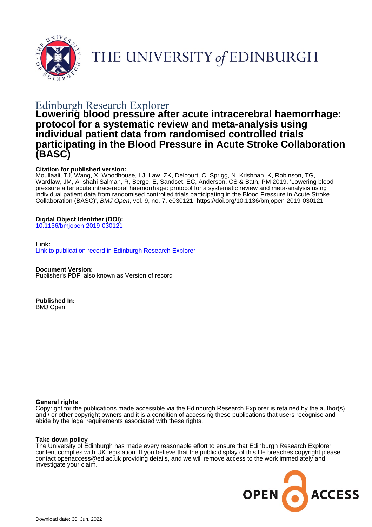

# THE UNIVERSITY of EDINBURGH

# Edinburgh Research Explorer

# **Lowering blood pressure after acute intracerebral haemorrhage: protocol for a systematic review and meta-analysis using individual patient data from randomised controlled trials participating in the Blood Pressure in Acute Stroke Collaboration (BASC)**

# **Citation for published version:**

Moullaali, TJ, Wang, X, Woodhouse, LJ, Law, ZK, Delcourt, C, Sprigg, N, Krishnan, K, Robinson, TG, Wardlaw, JM, Al-shahi Salman, R, Berge, E, Sandset, EC, Anderson, CS & Bath, PM 2019, 'Lowering blood pressure after acute intracerebral haemorrhage: protocol for a systematic review and meta-analysis using individual patient data from randomised controlled trials participating in the Blood Pressure in Acute Stroke Collaboration (BASC)', BMJ Open, vol. 9, no. 7, e030121. <https://doi.org/10.1136/bmjopen-2019-030121>

# **Digital Object Identifier (DOI):**

[10.1136/bmjopen-2019-030121](https://doi.org/10.1136/bmjopen-2019-030121)

# **Link:**

[Link to publication record in Edinburgh Research Explorer](https://www.research.ed.ac.uk/en/publications/43a289b8-8754-4943-8fd8-af6a69f03fe0)

# **Document Version:**

Publisher's PDF, also known as Version of record

**Published In:** BMJ Open

#### **General rights**

Copyright for the publications made accessible via the Edinburgh Research Explorer is retained by the author(s) and / or other copyright owners and it is a condition of accessing these publications that users recognise and abide by the legal requirements associated with these rights.

#### **Take down policy**

The University of Edinburgh has made every reasonable effort to ensure that Edinburgh Research Explorer content complies with UK legislation. If you believe that the public display of this file breaches copyright please contact openaccess@ed.ac.uk providing details, and we will remove access to the work immediately and investigate your claim.

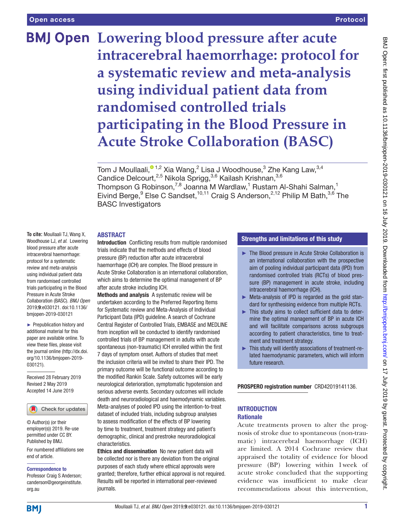# **BMJ Open** Lowering blood pressure after acute **intracerebral haemorrhage: protocol for a systematic review and meta-analysis using individual patient data from randomised controlled trials participating in the Blood Pressure in Acute Stroke Collaboration (BASC)**

TomJ Moullaali, $^{\bullet}$  1,2 Xia Wang, $^2$  Lisa J Woodhouse, $^3$  Zhe Kang Law, $^{3,4}$ Candice Delcourt,<sup>2,5</sup> Nikola Sprigg,<sup>3,6</sup> Kailash Krishnan,<sup>3,6</sup> Thompson G Robinson,<sup>7,8</sup> Joanna M Wardlaw,<sup>1</sup> Rustam Al-Shahi Salman,<sup>1</sup> Eivind Berge,  $9$  Else C Sandset,  $10,11$  Craig S Anderson,  $2,12$  Philip M Bath,  $3,6$  The BASC Investigators

# **ABSTRACT**

**To cite:** Moullaali TJ, Wang X, Woodhouse LJ, *et al*. Lowering blood pressure after acute intracerebral haemorrhage: protocol for a systematic review and meta-analysis using individual patient data from randomised controlled trials participating in the Blood Pressure in Acute Stroke Collaboration (BASC). *BMJ Open* 2019;9:e030121. doi:10.1136/ bmjopen-2019-030121

► Prepublication history and additional material for this paper are available online. To view these files, please visit the journal online (http://dx.doi. org/10.1136/bmjopen-2019- 030121).

Received 28 February 2019 Revised 2 May 2019 Accepted 14 June 2019



© Author(s) (or their employer(s)) 2019. Re-use permitted under CC BY. Published by BMJ.

For numbered affiliations see end of article.

#### Correspondence to

Professor Craig S Anderson; canderson@georgeinstitute. org.au

Introduction Conflicting results from multiple randomised trials indicate that the methods and effects of blood pressure (BP) reduction after acute intracerebral haemorrhage (ICH) are complex. The Blood pressure in Acute Stroke Collaboration is an international collaboration, which aims to determine the optimal management of BP after acute stroke including ICH.

Methods and analysis A systematic review will be undertaken according to the Preferred Reporting Items for Systematic review and Meta-Analysis of Individual Participant Data (IPD) guideline. A search of Cochrane Central Register of Controlled Trials, EMBASE and MEDLINE from inception will be conducted to identify randomised controlled trials of BP management in adults with acute spontaneous (non-traumatic) ICH enrolled within the first 7 days of symptom onset. Authors of studies that meet the inclusion criteria will be invited to share their IPD. The primary outcome will be functional outcome according to the modified Rankin Scale. Safety outcomes will be early neurological deterioration, symptomatic hypotension and serious adverse events. Secondary outcomes will include death and neuroradiological and haemodynamic variables. Meta-analyses of pooled IPD using the intention-to-treat dataset of included trials, including subgroup analyses to assess modification of the effects of BP lowering by time to treatment, treatment strategy and patient's demographic, clinical and prestroke neuroradiological characteristics.

**Ethics and dissemination** No new patient data will be collected nor is there any deviation from the original purposes of each study where ethical approvals were granted; therefore, further ethical approval is not required. Results will be reported in international peer-reviewed journals.

# Strengths and limitations of this study

- ► The Blood pressure in Acute Stroke Collaboration is an international collaboration with the prospective aim of pooling individual participant data (IPD) from randomised controlled trials (RCTs) of blood pressure (BP) management in acute stroke, including intracerebral haemorrhage (ICH).
- ► Meta-analysis of IPD is regarded as the gold standard for synthesising evidence from multiple RCTs.
- ► This study aims to collect sufficient data to determine the optimal management of BP in acute ICH and will facilitate comparisons across subgroups according to patient characteristics, time to treatment and treatment strategy.
- ► This study will identify associations of treatment-related haemodynamic parameters, which will inform future research.

PROSPERO registration number CRD42019141136.

#### **INTRODUCTION Rationale**

Acute treatments proven to alter the prognosis of stroke due to spontaneous (non-traumatic) intracerebral haemorrhage (ICH) are limited. A 2014 Cochrane review that appraised the totality of evidence for blood pressure (BP) lowering within 1week of acute stroke concluded that the supporting evidence was insufficient to make clear recommendations about this intervention,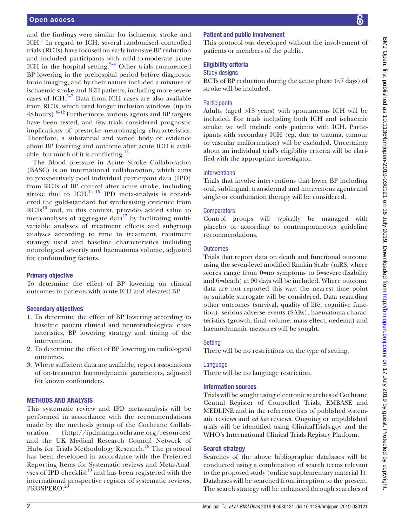and the findings were similar for ischaemic stroke and ICH.<sup>[1](#page-5-0)</sup> In regard to ICH, several randomised controlled trials (RCTs) have focused on early intensive BP reduction and included participants with mild-to-moderate acute ICH in the hospital setting. $2-4$  Other trials commenced BP lowering in the prehospital period before diagnostic brain imaging, and by their nature included a mixture of ischaemic stroke and ICH patients, including more severe cases of ICH. $5-7$  Data from ICH cases are also available from RCTs, which used longer inclusion windows (up to 48hours).[8–12](#page-5-3) Furthermore, various agents and BP targets have been tested, and few trials considered prognostic implications of prestroke neuroimaging characteristics. Therefore, a substantial and varied body of evidence about BP lowering and outcome after acute ICH is available, but much of it is conflicting. $^{13}$  $^{13}$  $^{13}$ 

The Blood pressure in Acute Stroke Collaboration (BASC) is an international collaboration, which aims to prospectively pool individual participant data (IPD) from RCTs of BP control after acute stroke, including stroke due to ICH. $^{14}$  15 IPD meta-analysis is considered the gold-standard for synthesising evidence from  $RCTs<sup>16</sup>$  and, in this context, provides added value to meta-analyses of aggregate data $17$  by facilitating multivariable analyses of treatment effects and subgroup analyses according to time to treatment, treatment strategy used and baseline characteristics including neurological severity and haematoma volume, adjusted for confounding factors.

# Primary objective

To determine the effect of BP lowering on clinical outcomes in patients with acute ICH and elevated BP.

# Secondary objectives

- 1. To determine the effect of BP lowering according to baseline patient clinical and neuroradiological characteristics, BP lowering strategy and timing of the intervention.
- 2. To determine the effect of BP lowering on radiological outcomes.
- 3. Where sufficient data are available, report associations of on-treatment haemodynamic parameters, adjusted for known confounders.

# Methods and analysis

This systematic review and IPD meta-analysis will be performed in accordance with the recommendations made by the methods group of the Cochrane Collaboration ([http://ipdmamg.cochrane.org/resources\)](http://ipdmamg.cochrane.org/resources) and the UK Medical Research Council Network of Hubs for Trials Methodology Research.<sup>[18](#page-5-8)</sup> The protocol has been developed in accordance with the Preferred Reporting Items for Systematic reviews and Meta-Analyses of IPD checklist $19$  and has been registered with the international prospective register of systematic reviews, PROSPERO.<sup>[20](#page-5-10)</sup>

# Patient and public involvement

This protocol was developed without the involvement of patients or members of the public.

# Eligibility criteria

# Study designs

RCTs of BP reduction during the acute phase (<7 days) of stroke will be included.

# **Participants**

Adults (aged >18 years) with spontaneous ICH will be included. For trials including both ICH and ischaemic stroke, we will include only patients with ICH. Participants with secondary ICH (eg, due to trauma, tumour or vascular malformation) will be excluded. Uncertainty about an individual trial's eligibility criteria will be clarified with the appropriate investigator.

# Interventions

Trials that involve interventions that lower BP including oral, sublingual, transdermal and intravenous agents and single or combination therapy will be considered.

# **Comparators**

Control groups will typically be managed with placebo or according to contemporaneous guideline recommendations.

# **Outcomes**

Trials that report data on death and functional outcome using the seven-level modified Rankin Scale (mRS, where scores range from 0=no symptoms to 5=severedisability and 6=death) at 90 days will be included. Where outcome data are not reported this way, the nearest time point or suitable surrogate will be considered. Data regarding other outcomes (survival, quality of life, cognitive function), serious adverse events (SAEs), haematoma characteristics (growth, final volume, mass effect, oedema) and haemodynamic measures will be sought.

# **Setting**

There will be no restrictions on the type of setting.

# Language

There will be no language restriction.

# Information sources

Trials will be sought using electronic searches of Cochrane Central Register of Controlled Trials, EMBASE and MEDLINE and in the reference lists of published systematic reviews and *ad hoc* reviews. Ongoing or unpublished trials will be identified using ClinicalTrials.gov and the WHO's International Clinical Trials Registry Platform.

# Search strategy

Searches of the above bibliographic databases will be conducted using a combination of search terms relevant to the proposed study (online [supplementary material 1\)](https://dx.doi.org/10.1136/bmjopen-2019-030121). Databases will be searched from inception to the present. The search strategy will be enhanced through searches of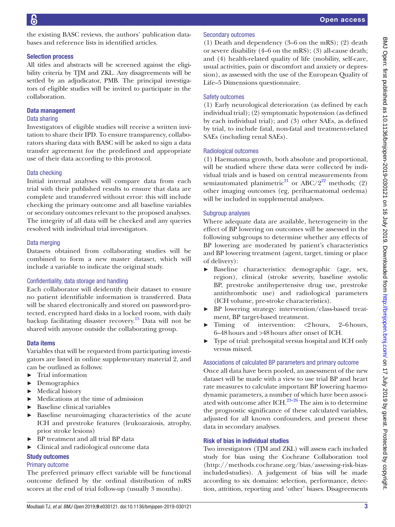the existing BASC reviews, the authors' publication databases and reference lists in identified articles.

#### Selection process

All titles and abstracts will be screened against the eligibility criteria by TJM and ZKL. Any disagreements will be settled by an adjudicator, PMB. The principal investigators of eligible studies will be invited to participate in the collaboration.

# Data management

#### Data sharing

Investigators of eligible studies will receive a written invitation to share their IPD. To ensure transparency, collaborators sharing data with BASC will be asked to sign a data transfer agreement for the predefined and appropriate use of their data according to this protocol.

#### Data checking

Initial internal analyses will compare data from each trial with their published results to ensure that data are complete and transferred without error: this will include checking the primary outcome and all baseline variables or secondary outcomes relevant to the proposed analyses. The integrity of all data will be checked and any queries resolved with individual trial investigators.

#### Data merging

Datasets obtained from collaborating studies will be combined to form a new master dataset, which will include a variable to indicate the original study.

#### Confidentiality, data storage and handling

Each collaborator will deidentify their dataset to ensure no patient identifiable information is transferred. Data will be shared electronically and stored on password-protected, encrypted hard disks in a locked room, with daily backup facilitating disaster recovery.<sup>15</sup> Data will not be shared with anyone outside the collaborating group.

#### Data items

Variables that will be requested from participating investigators are listed in online [supplementary material 2](https://dx.doi.org/10.1136/bmjopen-2019-030121), and can be outlined as follows:

- ► Trial information
- ► Demographics
- ► Medical history
- ► Medications at the time of admission
- Baseline clinical variables
- ► Baseline neuroimaging characteristics of the acute ICH and prestroke features (leukoaraiosis, atrophy, prior stroke lesions)
- BP treatment and all trial BP data
- ► Clinical and radiological outcome data

#### Study outcomes

#### Primary outcome

The preferred primary effect variable will be functional outcome defined by the ordinal distribution of mRS scores at the end of trial follow-up (usually 3 months).

# Secondary outcomes

(1) Death and dependency (3–6 on the mRS); (2) death or severe disability (4–6 on the mRS); (3) all-cause death; and (4) health-related quality of life (mobility, self-care, usual activities, pain or discomfort and anxiety or depression), as assessed with the use of the European Quality of Life–5 Dimensions questionnaire.

#### Safety outcomes

(1) Early neurological deterioration (as defined by each individual trial); (2) symptomatic hypotension (as defined by each individual trial); and (3) other SAEs, as defined by trial, to include fatal, non-fatal and treatment-related SAEs (including renal SAEs).

#### Radiological outcomes

(1) Haematoma growth, both absolute and proportional, will be studied where these data were collected by individual trials and is based on central measurements from semiautomated planimetric<sup>[21](#page-5-12)</sup> or ABC/2<sup>22</sup> methods; (2) other imaging outcomes (eg, perihaematomal oedema) will be included in supplemental analyses.

#### Subgroup analyses

Where adequate data are available, heterogeneity in the effect of BP lowering on outcomes will be assessed in the following subgroups to determine whether any effects of BP lowering are moderated by patient's characteristics and BP lowering treatment (agent, target, timing or place of delivery):

- ► Baseline characteristics: demographic (age, sex, region), clinical (stroke severity, baseline systolic BP, prestroke antihypertensive drug use, prestroke antithrombotic use) and radiological parameters (ICH volume, pre-stroke characteristics).
- BP lowering strategy: intervention/class-based treatment, BP target-based treatment.
- Timing of intervention:  $\langle 2 \text{ hours}, 2-6 \text{ hours}, \rangle$ 6–48hours and >48hours after onset of ICH.
- ► Type of trial: prehospital versus hospital and ICH only versus mixed.

#### Associations of calculated BP parameters and primary outcome

Once all data have been pooled, an assessment of the new dataset will be made with a view to use trial BP and heart rate measures to calculate important BP lowering haemodynamic parameters, a number of which have been associated with outcome after ICH.[23–26](#page-5-14) The aim is to determine the prognostic significance of these calculated variables, adjusted for all known confounders, and present these data in secondary analyses.

#### Risk of bias in individual studies

Two investigators (TJM and ZKL) will assess each included study for bias using the Cochrane Collaboration tool [\(http://methods.cochrane.org/bias/assessing-risk-bias](http://methods.cochrane.org/bias/assessing-risk-bias-included-studies)[included-studies](http://methods.cochrane.org/bias/assessing-risk-bias-included-studies)). A judgement of bias will be made according to six domains: selection, performance, detection, attrition, reporting and 'other' biases. Disagreements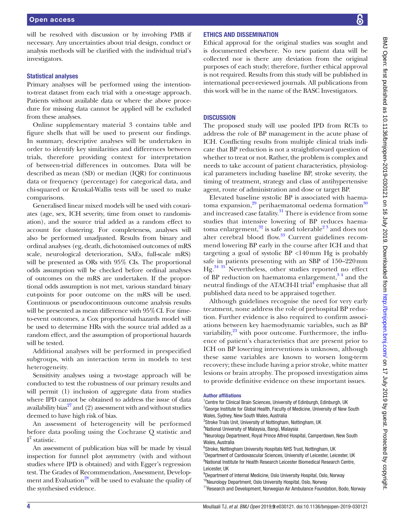will be resolved with discussion or by involving PMB if necessary. Any uncertainties about trial design, conduct or analysis methods will be clarified with the individual trial's investigators.

#### Statistical analyses

Primary analyses will be performed using the intentionto-treat dataset from each trial with a one-stage approach. Patients without available data or where the above procedure for missing data cannot be applied will be excluded from these analyses.

Online [supplementary material 3](https://dx.doi.org/10.1136/bmjopen-2019-030121) contains table and figure shells that will be used to present our findings. In summary, descriptive analyses will be undertaken in order to identify key similarities and differences between trials, therefore providing context for interpretation of between-trial differences in outcomes. Data will be described as mean (SD) or median (IQR) for continuous data or frequency (percentage) for categorical data, and chi-squared or Kruskal-Wallis tests will be used to make comparisons.

Generalised linear mixed models will be used with covariates (age, sex, ICH severity, time from onset to randomisation), and the source trial added as a random effect to account for clustering. For completeness, analyses will also be performed unadjusted. Results from binary and ordinal analyses (eg, death, dichotomised outcomes of mRS scale, neurological deterioration, SAEs, full-scale mRS) will be presented as ORs with 95% CIs. The proportional odds assumption will be checked before ordinal analyses of outcomes on the mRS are undertaken. If the proportional odds assumption is not met, various standard binary cut-points for poor outcome on the mRS will be used. Continuous or pseudocontinuous outcome analysis results will be presented as mean difference with  $95\%$  CI. For timeto-event outcomes, a Cox proportional hazards model will be used to determine HRs with the source trial added as a random effect, and the assumption of proportional hazards will be tested.

Additional analyses will be performed in prespecified subgroups, with an interaction term in models to test heterogeneity.

Sensitivity analyses using a two-stage approach will be conducted to test the robustness of our primary results and will permit (1) inclusion of aggregate data from studies where IPD cannot be obtained to address the issue of data availability bias $^{27}$  and (2) assessment with and without studies deemed to have high risk of bias.

An assessment of heterogeneity will be performed before data pooling using the Cochrane Q statistic and I<sup>2</sup> statistic.

An assessment of publication bias will be made by visual inspection for funnel plot asymmetry (with and without studies where IPD is obtained) and with Egger's regression test. The Grades of Recommendation, Assessment, Development and Evaluation<sup>28</sup> will be used to evaluate the quality of the synthesised evidence.

# Ethics and dissemination

Ethical approval for the original studies was sought and is documented elsewhere. No new patient data will be collected nor is there any deviation from the original purposes of each study; therefore, further ethical approval is not required. Results from this study will be published in international peer-reviewed journals. All publications from this work will be in the name of the BASC Investigators.

# **DISCUSSION**

The proposed study will use pooled IPD from RCTs to address the role of BP management in the acute phase of ICH. Conflicting results from multiple clinical trials indicate that BP reduction is not a straightforward question of whether to treat or not. Rather, the problem is complex and needs to take account of patient characteristics, physiological parameters including baseline BP, stroke severity, the timing of treatment, strategy and class of antihypertensive agent, route of administration and dose or target BP.

Elevated baseline systolic BP is associated with haematoma expansion, $^{29}$  perihaematomal oedema formation $^{30}$  $^{30}$  $^{30}$ and increased case fatality.<sup>31</sup> There is evidence from some studies that intensive lowering of BP reduces haematoma enlargement, $32$  is safe and tolerable<sup>23</sup> and does not alter cerebral blood flow.<sup>33</sup> Current guidelines recommend lowering BP early in the course after ICH and that targeting a goal of systolic BP <140mm Hg is probably safe in patients presenting with an SBP of 150–220mm  $Hg<sup>34</sup>$ <sup>35</sup> Nevertheless, other studies reported no effect of BP reduction on haematoma enlargement,  $3<sup>4</sup>$  and the neutral findings of the ATACH-II trial<sup>[4](#page-5-24)</sup> emphasise that all published data need to be appraised together.

Although guidelines recognise the need for very early treatment, none address the role of prehospital BP reduction. Further evidence is also required to confirm associations between key haemodynamic variables, such as BP variability, $^{23}$  with poor outcome. Furthermore, the influence of patient's characteristics that are present prior to ICH on BP lowering interventions is unknown, although these same variables are known to worsen long-term recovery; these include having a prior stroke, white matter lesions or brain atrophy. The proposed investigation aims to provide definitive evidence on these important issues.

#### Author affiliations

<sup>1</sup> Centre for Clinical Brain Sciences, University of Edinburgh, Edinburgh, UK <sup>2</sup> George Institute for Global Health, Faculty of Medicine, University of New South Wales, Sydney, New South Wales, Australia

- <sup>3</sup>Stroke Trials Unit, University of Nottingham, Nottingham, UK
- 4 National University of Malaysia, Bangi, Malaysia
- 5 Neurology Department, Royal Prince Alfred Hospital, Camperdown, New South Wales, Australia
- <sup>6</sup>Stroke, Nottingham University Hospitals NHS Trust, Nottingham, UK
- <sup>7</sup>Department of Cardiovascular Sciences, University of Leicester, Leicester, UK <sup>8</sup>National Institute for Health Research Leicester Biomedical Research Centre, Leicester, UK
- <sup>9</sup>Department of Internal Medicine, Oslo University Hospital, Oslo, Norway
- <sup>10</sup>Neurology Department, Oslo University Hospital, Oslo, Norway
- <sup>11</sup> Research and Development, Norwegian Air Ambulance Foundation, Bodo, Norway